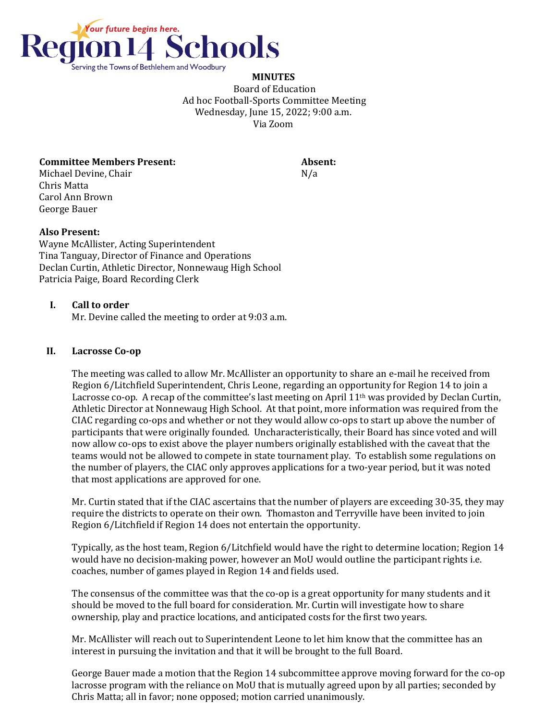

**MINUTES** Board of Education Ad hoc Football-Sports Committee Meeting Wednesday, June 15, 2022; 9:00 a.m. Via Zoom

**Committee Members Present: Absent:** 

Michael Devine, Chair No. 2014 19:30 No. 2014 Chris Matta Carol Ann Brown George Bauer

## **Also Present:**

Wayne McAllister, Acting Superintendent Tina Tanguay, Director of Finance and Operations Declan Curtin, Athletic Director, Nonnewaug High School Patricia Paige, Board Recording Clerk

## **I. Call to order**

Mr. Devine called the meeting to order at 9:03 a.m.

## **II. Lacrosse Co-op**

The meeting was called to allow Mr. McAllister an opportunity to share an e-mail he received from Region 6/Litchfield Superintendent, Chris Leone, regarding an opportunity for Region 14 to join a Lacrosse co-op. A recap of the committee's last meeting on April  $11<sup>th</sup>$  was provided by Declan Curtin, Athletic Director at Nonnewaug High School. At that point, more information was required from the CIAC regarding co-ops and whether or not they would allow co-ops to start up above the number of participants that were originally founded. Uncharacteristically, their Board has since voted and will now allow co-ops to exist above the player numbers originally established with the caveat that the teams would not be allowed to compete in state tournament play. To establish some regulations on the number of players, the CIAC only approves applications for a two-year period, but it was noted that most applications are approved for one.

Mr. Curtin stated that if the CIAC ascertains that the number of players are exceeding 30-35, they may require the districts to operate on their own. Thomaston and Terryville have been invited to join Region 6/Litchfield if Region 14 does not entertain the opportunity.

Typically, as the host team, Region 6/Litchfield would have the right to determine location; Region 14 would have no decision-making power, however an MoU would outline the participant rights i.e. coaches, number of games played in Region 14 and fields used.

The consensus of the committee was that the co-op is a great opportunity for many students and it should be moved to the full board for consideration. Mr. Curtin will investigate how to share ownership, play and practice locations, and anticipated costs for the first two years.

Mr. McAllister will reach out to Superintendent Leone to let him know that the committee has an interest in pursuing the invitation and that it will be brought to the full Board.

George Bauer made a motion that the Region 14 subcommittee approve moving forward for the co-op lacrosse program with the reliance on MoU that is mutually agreed upon by all parties; seconded by Chris Matta; all in favor; none opposed; motion carried unanimously.